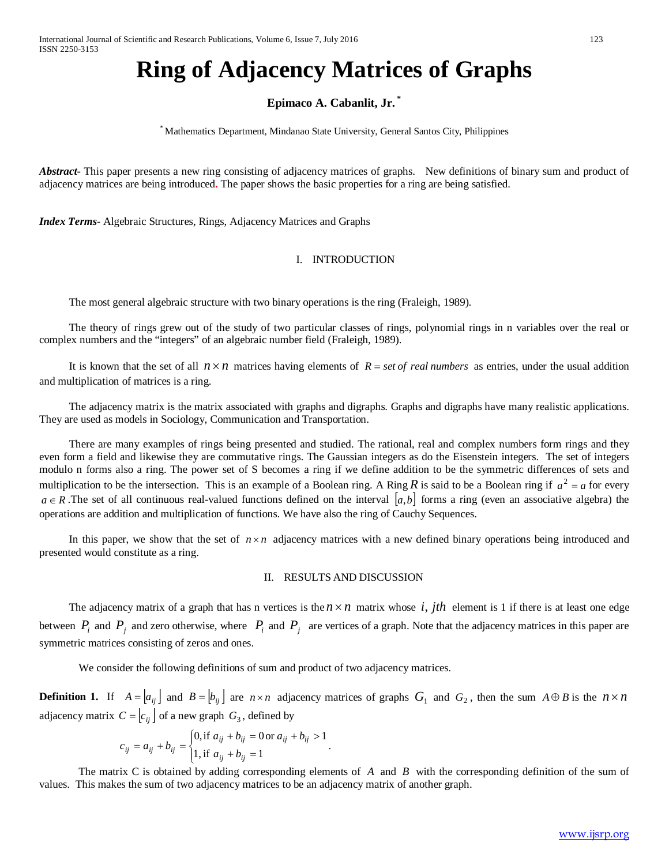# **Ring of Adjacency Matrices of Graphs**

## **Epimaco A. Cabanlit, Jr. \***

\* Mathematics Department, Mindanao State University, General Santos City, Philippines

*Abstract* This paper presents a new ring consisting of adjacency matrices of graphs. New definitions of binary sum and product of adjacency matrices are being introduced**.** The paper shows the basic properties for a ring are being satisfied.

*Index Terms*- Algebraic Structures, Rings, Adjacency Matrices and Graphs

### I. INTRODUCTION

The most general algebraic structure with two binary operations is the ring (Fraleigh, 1989).

The theory of rings grew out of the study of two particular classes of rings, polynomial rings in n variables over the real or complex numbers and the "integers" of an algebraic number field (Fraleigh, 1989).

It is known that the set of all  $n \times n$  matrices having elements of  $R = set$  *of real numbers* as entries, under the usual addition and multiplication of matrices is a ring.

The adjacency matrix is the matrix associated with graphs and digraphs. Graphs and digraphs have many realistic applications. They are used as models in Sociology, Communication and Transportation.

There are many examples of rings being presented and studied. The rational, real and complex numbers form rings and they even form a field and likewise they are commutative rings. The Gaussian integers as do the Eisenstein integers. The set of integers modulo n forms also a ring. The power set of S becomes a ring if we define addition to be the symmetric differences of sets and multiplication to be the intersection. This is an example of a Boolean ring. A Ring  $R$  is said to be a Boolean ring if  $a^2 = a$  for every  $a \in R$ . The set of all continuous real-valued functions defined on the interval  $[a,b]$  forms a ring (even an associative algebra) the operations are addition and multiplication of functions. We have also the ring of Cauchy Sequences.

In this paper, we show that the set of  $n \times n$  adjacency matrices with a new defined binary operations being introduced and presented would constitute as a ring.

## II. RESULTS AND DISCUSSION

The adjacency matrix of a graph that has n vertices is the  $n \times n$  matrix whose *i*, *jth* element is 1 if there is at least one edge between  $P_i$  and  $P_j$  and zero otherwise, where  $P_i$  and  $P_j$  are vertices of a graph. Note that the adjacency matrices in this paper are symmetric matrices consisting of zeros and ones.

We consider the following definitions of sum and product of two adjacency matrices.

**Definition 1.** If  $A = [a_{ij}]$  and  $B = [b_{ij}]$  are  $n \times n$  adjacency matrices of graphs  $G_1$  and  $G_2$ , then the sum  $A \oplus B$  is the  $n \times n$ adjacency matrix  $C = |c_{ij}|$  of a new graph  $G_3$ , defined by

$$
c_{ij} = a_{ij} + b_{ij} = \begin{cases} 0, \text{if } a_{ij} + b_{ij} = 0 \text{ or } a_{ij} + b_{ij} > 1 \\ 1, \text{if } a_{ij} + b_{ij} = 1 \end{cases}.
$$

The matrix C is obtained by adding corresponding elements of *A* and *B* with the corresponding definition of the sum of values. This makes the sum of two adjacency matrices to be an adjacency matrix of another graph.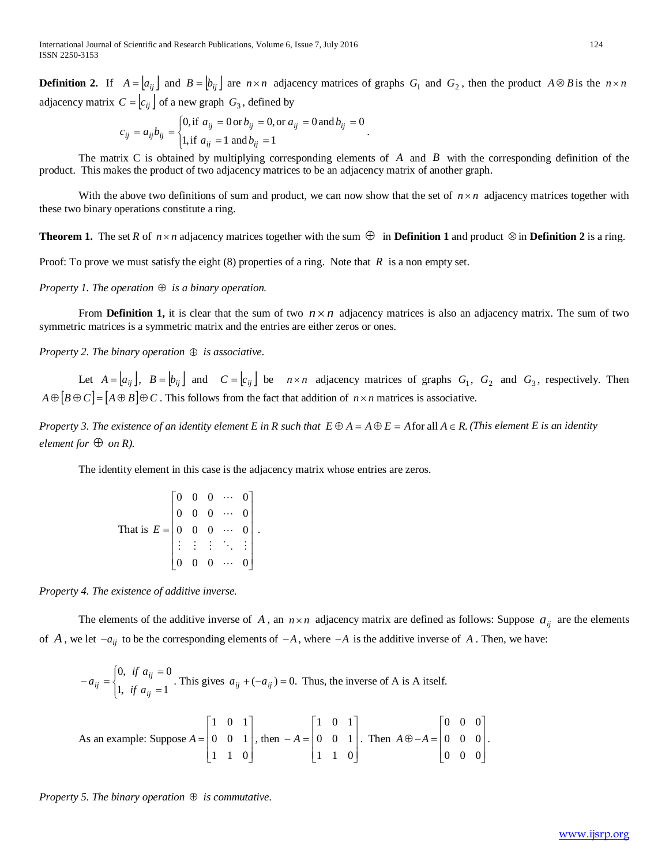**Definition 2.** If  $A = [a_{ij}]$  and  $B = [b_{ij}]$  are  $n \times n$  adjacency matrices of graphs  $G_1$  and  $G_2$ , then the product  $A \otimes B$  is the  $n \times n$ adjacency matrix  $C = \begin{bmatrix} c_{ii} \end{bmatrix}$  of a new graph  $G_3$ , defined by

$$
c_{ij} = a_{ij}b_{ij} = \begin{cases} 0, \text{if } a_{ij} = 0 \text{ or } b_{ij} = 0, \text{or } a_{ij} = 0 \text{ and } b_{ij} = 0 \\ 1, \text{if } a_{ij} = 1 \text{ and } b_{ij} = 1 \end{cases}.
$$

The matrix C is obtained by multiplying corresponding elements of *A* and *B* with the corresponding definition of the product. This makes the product of two adjacency matrices to be an adjacency matrix of another graph.

With the above two definitions of sum and product, we can now show that the set of  $n \times n$  adjacency matrices together with these two binary operations constitute a ring.

**Theorem 1.** The set *R* of  $n \times n$  adjacency matrices together with the sum  $\oplus$  in **Definition 1** and product  $\otimes$  in **Definition 2** is a ring.

Proof: To prove we must satisfy the eight (8) properties of a ring. Note that *R* is a non empty set.

*Property 1. The operation*  $\oplus$  *is a binary operation.* 

From **Definition 1,** it is clear that the sum of two  $n \times n$  adjacency matrices is also an adjacency matrix. The sum of two symmetric matrices is a symmetric matrix and the entries are either zeros or ones.

*Property 2. The binary operation* ⊕ *is associative.*

Let  $A = [a_{ij}]$ ,  $B = [b_{ij}]$  and  $C = [c_{ij}]$  be  $n \times n$  adjacency matrices of graphs  $G_1$ ,  $G_2$  and  $G_3$ , respectively. Then  $A \oplus [B \oplus C] = [A \oplus B] \oplus C$ . This follows from the fact that addition of  $n \times n$  matrices is associative.

*Property* 3. The existence of an identity element E in R such that  $E \oplus A = A \oplus E = A$  for all  $A \in R$ . *(This element E is an identity element for*  $\oplus$  *on R*).

The identity element in this case is the adjacency matrix whose entries are zeros.

|                  |                                       |                | $0 \quad 0 \quad \cdots$ |  |
|------------------|---------------------------------------|----------------|--------------------------|--|
| That is $E =  0$ | $\begin{array}{c} 0 \\ 0 \end{array}$ | $\overline{0}$ | $\ldots$                 |  |
|                  |                                       | $\mathbf{0}$   | $\dddotsc$               |  |
|                  |                                       |                | $\pm$ $\pm$ $\sim$       |  |
|                  |                                       |                |                          |  |

*Property 4. The existence of additive inverse.*

The elements of the additive inverse of A, an  $n \times n$  adjacency matrix are defined as follows: Suppose  $a_{ij}$  are the elements of *A*, we let  $-a_{ij}$  to be the corresponding elements of  $-A$ , where  $-A$  is the additive inverse of *A*. Then, we have:

$$
-a_{ij} = \begin{cases} 0, & \text{if } a_{ij} = 0 \\ 1, & \text{if } a_{ij} = 1 \end{cases}
$$
. This gives  $a_{ij} + (-a_{ij}) = 0$ . Thus, the inverse of A is A itself.  
\n
$$
\begin{bmatrix} 1 & 0 & 1 \end{bmatrix} \qquad \begin{bmatrix} 1 & 0 & 1 \end{bmatrix} \qquad \begin{bmatrix} 0 & 0 & 0 \end{bmatrix}
$$

As an example: Suppose  $\overline{\phantom{a}}$  $\overline{\phantom{a}}$  $\overline{\phantom{a}}$  $\rfloor$  $\mathsf{I}$  $\mathbb{I}$  $\mathbb{I}$ L = 1 1 0 0 0 1  $A = \begin{pmatrix} 0 & 0 & 1 \end{pmatrix}$ , then  $\overline{\phantom{a}}$  $\overline{\phantom{a}}$  $\overline{\phantom{a}}$ 」  $\mathsf{I}$  $\mathbb{I}$  $\mathbf{r}$ L  $-A =$ 1 1 0 0 0 1  $A = \begin{pmatrix} 0 & 0 & 1 \end{pmatrix}$ . Then  $\overline{\phantom{a}}$  $\overline{\phantom{a}}$  $\overline{\phantom{a}}$  $\overline{\phantom{a}}$  $\overline{\phantom{a}}$  $\mathsf{I}$  $\mathbb{I}$  $\mathbb{I}$ L  $\oplus -A =$ 0 0 0 0 0 0  $A \oplus -A = |0 \quad 0 \quad 0|.$ 

*Property* 5. The binary operation  $\oplus$  *is commutative.*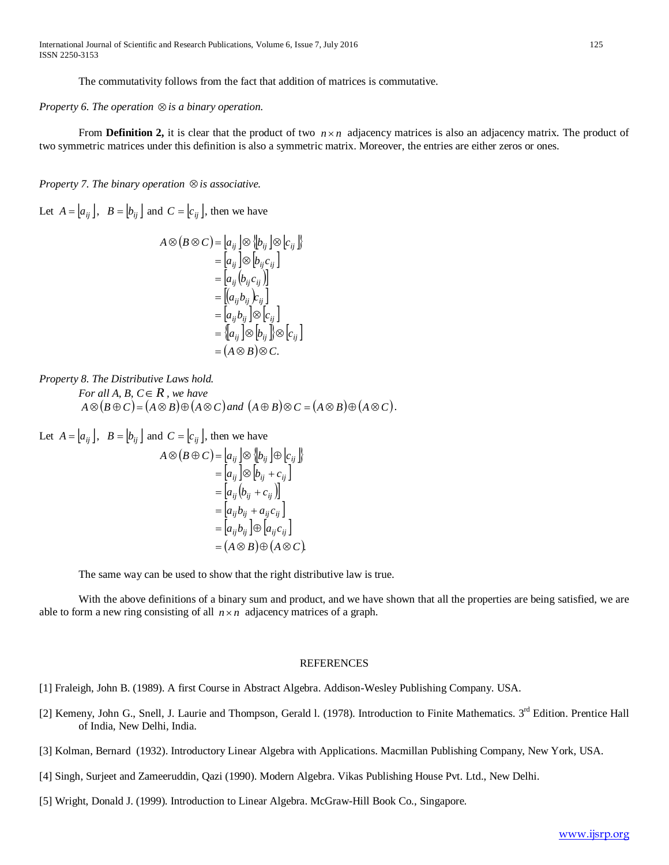The commutativity follows from the fact that addition of matrices is commutative.

*Property 6. The operation* ⊗*is a binary operation.*

From **Definition 2,** it is clear that the product of two  $n \times n$  adjacency matrices is also an adjacency matrix. The product of two symmetric matrices under this definition is also a symmetric matrix. Moreover, the entries are either zeros or ones.

*Property 7. The binary operation* ⊗*is associative.*

Let  $A = \begin{bmatrix} a_{ij} \end{bmatrix}$ ,  $B = \begin{bmatrix} b_{ij} \end{bmatrix}$  and  $C = \begin{bmatrix} c_{ij} \end{bmatrix}$ , then we have

$$
A \otimes (B \otimes C) = [a_{ij}] \otimes [b_{ij}] \otimes [c_{ij}]
$$
  
\n
$$
= [a_{ij}] \otimes [b_{ij}c_{ij}]
$$
  
\n
$$
= [a_{ij}(b_{ij}c_{ij})]
$$
  
\n
$$
= [(a_{ij}b_{ij})c_{ij}]
$$
  
\n
$$
= [a_{ij}b_{ij}] \otimes [c_{ij}]
$$
  
\n
$$
= [a_{ij}] \otimes [b_{ij}] \otimes [c_{ij}]
$$
  
\n
$$
= (A \otimes B) \otimes C.
$$

*Property 8. The Distributive Laws hold. For all A, B,*  $C \in R$ *, we have*  $A \otimes (B \oplus C) = (A \otimes B) \oplus (A \otimes C)$  *and*  $(A \oplus B) \otimes C = (A \otimes B) \oplus (A \otimes C)$ .

Let  $A = |a_{ij}|$ ,  $B = |b_{ij}|$  and  $C = |c_{ij}|$ , then we have  $A \otimes (B \oplus C) = [a_{ij}] \otimes [b_{ij}] \oplus [c_{ij}]$  $=[a_{ij}]\otimes [b_{ij}+c_{ij}]$  $=[a_{ij}(b_{ij}+c_{ij})]$  $| a_{ii} b_{ii} + a_{ii} c_{ii} |$  $| a_{ii} b_{ii} | \oplus | a_{ii} c_{ii} |$  $=(A \otimes B) \oplus (A \otimes C).$  $a_{ii}b_{ii} + a_{ii}c$  $_{ij}\omega_{ij}$  ] $\cup$  [ $\omega_{ij}$  $\epsilon_{ij}$  $i$ *i*  $j$   $\nu$ *ij*  $\iota$  *ii*  $\iota$  *ii*  $j$  $= |a_{ii}b_{ii}| \oplus$  $= |a_{ii}b_{ii} +$ 

The same way can be used to show that the right distributive law is true.

With the above definitions of a binary sum and product, and we have shown that all the properties are being satisfied, we are able to form a new ring consisting of all  $n \times n$  adjacency matrices of a graph.

#### REFERENCES

- [1] Fraleigh, John B. (1989). A first Course in Abstract Algebra. Addison-Wesley Publishing Company. USA.
- [2] Kemeny, John G., Snell, J. Laurie and Thompson, Gerald 1. (1978). Introduction to Finite Mathematics. 3<sup>rd</sup> Edition. Prentice Hall of India, New Delhi, India.
- [3] Kolman, Bernard (1932). Introductory Linear Algebra with Applications. Macmillan Publishing Company, New York, USA.
- [4] Singh, Surjeet and Zameeruddin, Qazi (1990). Modern Algebra. Vikas Publishing House Pvt. Ltd., New Delhi.
- [5] Wright, Donald J. (1999). Introduction to Linear Algebra. McGraw-Hill Book Co., Singapore.